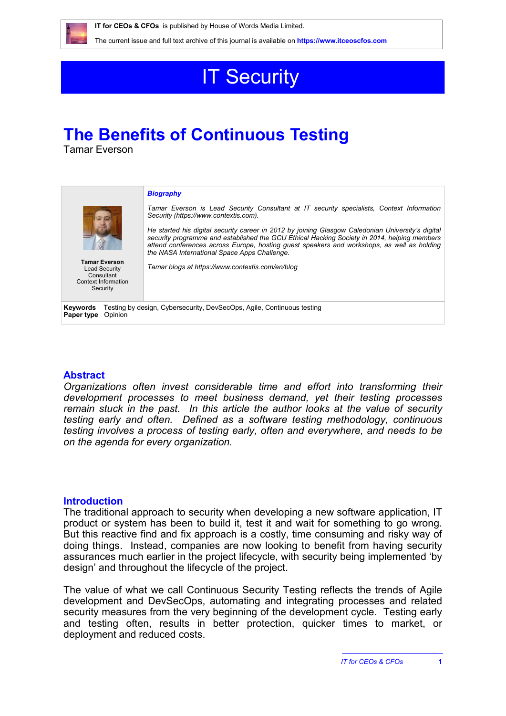

The current issue and full text archive of this journal is available on **<https://www.itceoscfos.com>** 

# **IT Security**

# **The Benefits of Continuous Testing**

Tamar Everson

| <b>Tamar Everson</b><br><b>Lead Security</b><br>Consultant<br>Context Information<br>Security               | <b>Biography</b><br>Tamar Everson is Lead Security Consultant at IT security specialists. Context Information<br>Security (https://www.contextis.com).<br>He started his digital security career in 2012 by joining Glasgow Caledonian University's digital<br>security programme and established the GCU Ethical Hacking Society in 2014, helping members<br>attend conferences across Europe, hosting guest speakers and workshops, as well as holding<br>the NASA International Space Apps Challenge.<br>Tamar blogs at https://www.contextis.com/en/blog |
|-------------------------------------------------------------------------------------------------------------|--------------------------------------------------------------------------------------------------------------------------------------------------------------------------------------------------------------------------------------------------------------------------------------------------------------------------------------------------------------------------------------------------------------------------------------------------------------------------------------------------------------------------------------------------------------|
| Testing by design, Cybersecurity, DevSecOps, Agile, Continuous testing<br>Keywords<br>Opinion<br>Paper type |                                                                                                                                                                                                                                                                                                                                                                                                                                                                                                                                                              |

#### **Abstract**

*Organizations often invest considerable time and effort into transforming their development processes to meet business demand, yet their testing processes remain stuck in the past. In this article the author looks at the value of security testing early and often. Defined as a software testing methodology, continuous testing involves a process of testing early, often and everywhere, and needs to be on the agenda for every organization.*

## **Introduction**

The traditional approach to security when developing a new software application, IT product or system has been to build it, test it and wait for something to go wrong. But this reactive find and fix approach is a costly, time consuming and risky way of doing things. Instead, companies are now looking to benefit from having security assurances much earlier in the project lifecycle, with security being implemented 'by design' and throughout the lifecycle of the project.

The value of what we call Continuous Security Testing reflects the trends of Agile development and DevSecOps, automating and integrating processes and related security measures from the very beginning of the development cycle. Testing early and testing often, results in better protection, quicker times to market, or deployment and reduced costs.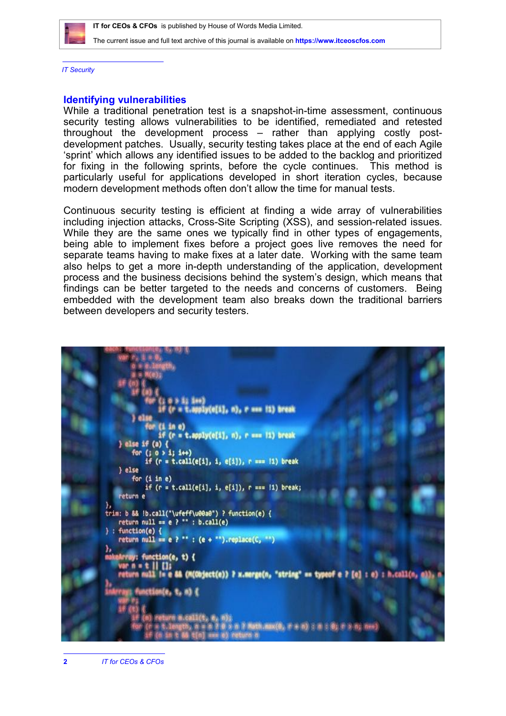

The current issue and full text archive of this journal is available on **<https://www.itceoscfos.com>** 

*IT Security*

#### **Identifying vulnerabilities**

While a traditional penetration test is a snapshot-in-time assessment, continuous security testing allows vulnerabilities to be identified, remediated and retested throughout the development process – rather than applying costly postdevelopment patches. Usually, security testing takes place at the end of each Agile 'sprint' which allows any identified issues to be added to the backlog and prioritized for fixing in the following sprints, before the cycle continues. This method is particularly useful for applications developed in short iteration cycles, because modern development methods often don't allow the time for manual tests.

Continuous security testing is efficient at finding a wide array of vulnerabilities including injection attacks, Cross-Site Scripting (XSS), and session-related issues. While they are the same ones we typically find in other types of engagements, being able to implement fixes before a project goes live removes the need for separate teams having to make fixes at a later date. Working with the same team also helps to get a more in-depth understanding of the application, development process and the business decisions behind the system's design, which means that findings can be better targeted to the needs and concerns of customers. Being embedded with the development team also breaks down the traditional barriers between developers and security testers.